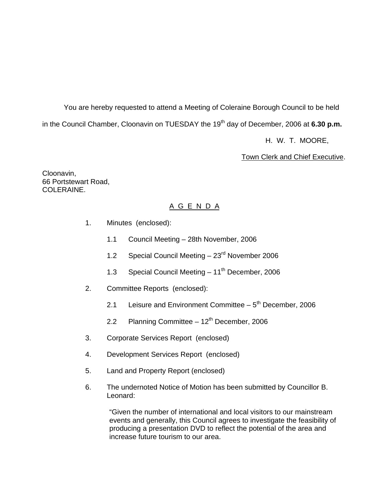You are hereby requested to attend a Meeting of Coleraine Borough Council to be held in the Council Chamber, Cloonavin on TUESDAY the 19<sup>th</sup> day of December, 2006 at **6.30 p.m.** 

H. W. T. MOORE,

Town Clerk and Chief Executive.

Cloonavin, 66 Portstewart Road, COLERAINE.

# A G E N D A

- 1. Minutes (enclosed):
	- 1.1 Council Meeting 28th November, 2006
	- 1.2 Special Council Meeting 23<sup>rd</sup> November 2006
	- 1.3 Special Council Meeting  $-11^{th}$  December, 2006
- 2. Committee Reports (enclosed):
	- 2.1 Leisure and Environment Committee  $-5<sup>th</sup>$  December, 2006
	- 2.2 Planning Committee  $-12<sup>th</sup>$  December, 2006
- 3. Corporate Services Report (enclosed)
- 4. Development Services Report (enclosed)
- 5. Land and Property Report (enclosed)
- 6. The undernoted Notice of Motion has been submitted by Councillor B. Leonard:

"Given the number of international and local visitors to our mainstream events and generally, this Council agrees to investigate the feasibility of producing a presentation DVD to reflect the potential of the area and increase future tourism to our area.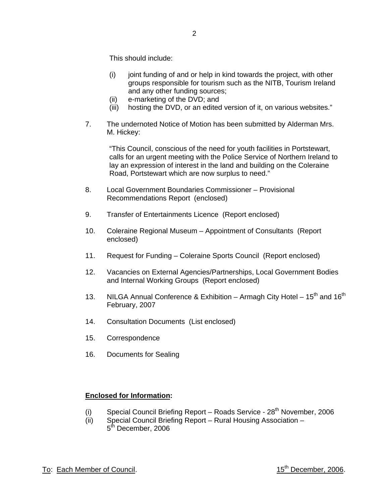This should include:

- (i) joint funding of and or help in kind towards the project, with other groups responsible for tourism such as the NITB, Tourism Ireland and any other funding sources;
- (ii) e-marketing of the DVD; and
- (iii) hosting the DVD, or an edited version of it, on various websites."
- 7. The undernoted Notice of Motion has been submitted by Alderman Mrs. M. Hickey:

"This Council, conscious of the need for youth facilities in Portstewart, calls for an urgent meeting with the Police Service of Northern Ireland to lay an expression of interest in the land and building on the Coleraine Road, Portstewart which are now surplus to need."

- 8. Local Government Boundaries Commissioner Provisional Recommendations Report (enclosed)
- 9. Transfer of Entertainments Licence (Report enclosed)
- 10. Coleraine Regional Museum Appointment of Consultants (Report enclosed)
- 11. Request for Funding Coleraine Sports Council (Report enclosed)
- 12. Vacancies on External Agencies/Partnerships, Local Government Bodies and Internal Working Groups (Report enclosed)
- 13. NILGA Annual Conference & Exhibition Armagh City Hotel  $15<sup>th</sup>$  and  $16<sup>th</sup>$ February, 2007
- 14. Consultation Documents (List enclosed)
- 15. Correspondence
- 16. Documents for Sealing

# **Enclosed for Information:**

- (i) Special Council Briefing Report Roads Service  $28<sup>th</sup>$  November, 2006
- (ii) Special Council Briefing Report Rural Housing Association 5<sup>th</sup> December, 2006

To: Each Member of Council. To: Each Member, 2006.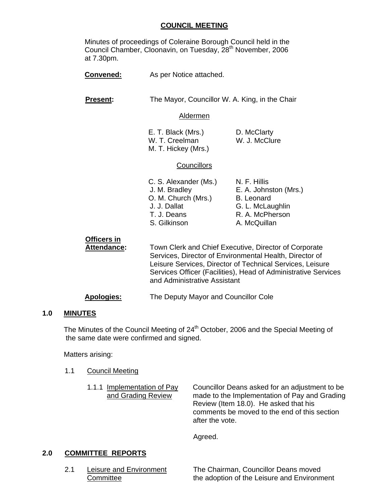### **COUNCIL MEETING**

Minutes of proceedings of Coleraine Borough Council held in the Council Chamber, Cloonavin, on Tuesday, 28th November, 2006 at 7.30pm.

| <b>Convened:</b>                  | As per Notice attached.                                                                                                                                                                                                                                                         |                                                                                                                   |
|-----------------------------------|---------------------------------------------------------------------------------------------------------------------------------------------------------------------------------------------------------------------------------------------------------------------------------|-------------------------------------------------------------------------------------------------------------------|
| <b>Present:</b>                   | The Mayor, Councillor W. A. King, in the Chair                                                                                                                                                                                                                                  |                                                                                                                   |
|                                   | <b>Aldermen</b>                                                                                                                                                                                                                                                                 |                                                                                                                   |
|                                   | E. T. Black (Mrs.)<br>W. T. Creelman<br>M. T. Hickey (Mrs.)                                                                                                                                                                                                                     | D. McClarty<br>W. J. McClure                                                                                      |
|                                   | <b>Councillors</b>                                                                                                                                                                                                                                                              |                                                                                                                   |
|                                   | C. S. Alexander (Ms.)<br>J. M. Bradley<br>O. M. Church (Mrs.)<br>J. J. Dallat<br>T. J. Deans<br>S. Gilkinson                                                                                                                                                                    | N. F. Hillis<br>E. A. Johnston (Mrs.)<br><b>B.</b> Leonard<br>G. L. McLaughlin<br>R. A. McPherson<br>A. McQuillan |
| <b>Officers in</b><br>Attendance: | Town Clerk and Chief Executive, Director of Corporate<br>Services, Director of Environmental Health, Director of<br>Leisure Services, Director of Technical Services, Leisure<br>Services Officer (Facilities), Head of Administrative Services<br>and Administrative Assistant |                                                                                                                   |

### **Apologies:** The Deputy Mayor and Councillor Cole

#### **1.0 MINUTES**

The Minutes of the Council Meeting of 24<sup>th</sup> October, 2006 and the Special Meeting of the same date were confirmed and signed.

Matters arising:

- 1.1 Council Meeting
	- 1.1.1 Implementation of Pay Councillor Deans asked for an adjustment to be and Grading Review made to the Implementation of Pay and Grading Review (Item 18.0). He asked that his comments be moved to the end of this section after the vote.

Agreed.

### **2.0 COMMITTEE REPORTS**

2.1 Leisure and Environment The Chairman, Councillor Deans moved Committee **the adoption of the Leisure and Environment**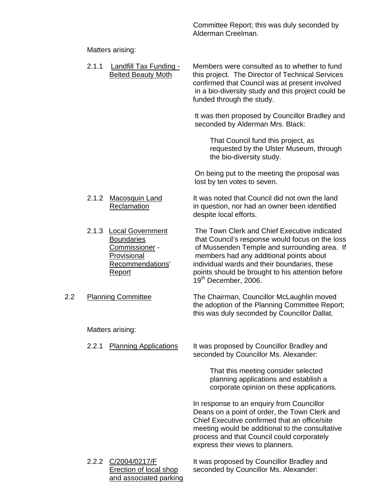Committee Report; this was duly seconded by Alderman Creelman.

# Matters arising:

|     | 2.1.1 | Landfill Tax Funding -<br><b>Belted Beauty Moth</b>                                                        | Members were consulted as to whether to fund<br>this project. The Director of Technical Services<br>confirmed that Council was at present involved<br>in a bio-diversity study and this project could be<br>funded through the study.                                                                                              |
|-----|-------|------------------------------------------------------------------------------------------------------------|------------------------------------------------------------------------------------------------------------------------------------------------------------------------------------------------------------------------------------------------------------------------------------------------------------------------------------|
|     |       |                                                                                                            | It was then proposed by Councillor Bradley and<br>seconded by Alderman Mrs. Black:                                                                                                                                                                                                                                                 |
|     |       |                                                                                                            | That Council fund this project, as<br>requested by the Ulster Museum, through<br>the bio-diversity study.                                                                                                                                                                                                                          |
|     |       |                                                                                                            | On being put to the meeting the proposal was<br>lost by ten votes to seven.                                                                                                                                                                                                                                                        |
|     | 2.1.2 | <b>Macosquin Land</b><br>Reclamation                                                                       | It was noted that Council did not own the land<br>in question, nor had an owner been identified<br>despite local efforts.                                                                                                                                                                                                          |
|     |       | 2.1.3 Local Government<br><b>Boundaries</b><br>Commissioner -<br>Provisional<br>Recommendations'<br>Report | The Town Clerk and Chief Executive indicated<br>that Council's response would focus on the loss<br>of Mussenden Temple and surrounding area. If<br>members had any additional points about<br>individual wards and their boundaries, these<br>points should be brought to his attention before<br>19 <sup>th</sup> December, 2006. |
| 2.2 |       | <b>Planning Committee</b>                                                                                  | The Chairman, Councillor McLaughlin moved<br>the adoption of the Planning Committee Report;<br>this was duly seconded by Councillor Dallat.                                                                                                                                                                                        |
|     |       | Matters arising:                                                                                           |                                                                                                                                                                                                                                                                                                                                    |
|     |       | 2.2.1 Planning Applications                                                                                | It was proposed by Councillor Bradley and<br>seconded by Councillor Ms. Alexander:                                                                                                                                                                                                                                                 |
|     |       |                                                                                                            | That this meeting consider selected<br>planning applications and establish a<br>corporate opinion on these applications.                                                                                                                                                                                                           |
|     |       |                                                                                                            | In response to an enquiry from Councillor<br>Deans on a point of order, the Town Clerk and<br>Chief Executive confirmed that an office/site<br>meeting would be additional to the consultative<br>process and that Council could corporately<br>express their views to planners.                                                   |
|     |       | 2.2.2 C/2004/0217/F<br><b>Erection of local shop</b><br>and associated parking                             | It was proposed by Councillor Bradley and<br>seconded by Councillor Ms. Alexander:                                                                                                                                                                                                                                                 |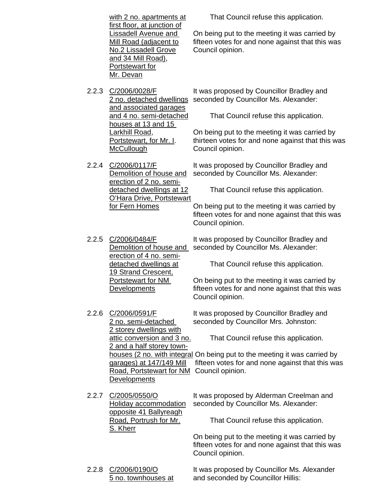|       | with 2 no. apartments at                                                                                                                                            | That Council refuse this application.                                                                                                             |
|-------|---------------------------------------------------------------------------------------------------------------------------------------------------------------------|---------------------------------------------------------------------------------------------------------------------------------------------------|
|       | first floor, at junction of<br><u>Lissadell Avenue and </u><br>Mill Road (adjacent to<br>No.2 Lissadell Grove<br>and 34 Mill Road),<br>Portstewart for<br>Mr. Devan | On being put to the meeting it was carried by<br>fifteen votes for and none against that this was<br>Council opinion.                             |
| 2.2.3 | C/2006/0028/F<br>2 no. detached dwellings                                                                                                                           | It was proposed by Councillor Bradley and<br>seconded by Councillor Ms. Alexander:                                                                |
|       | and associated garages<br>and 4 no. semi-detached                                                                                                                   | That Council refuse this application.                                                                                                             |
|       | houses at 13 and 15<br><u>Larkhill Road,</u><br>Portstewart, for Mr. I.<br><b>McCullough</b>                                                                        | On being put to the meeting it was carried by<br>thirteen votes for and none against that this was<br>Council opinion.                            |
| 2.2.4 | C/2006/0117/F<br>Demolition of house and                                                                                                                            | It was proposed by Councillor Bradley and<br>seconded by Councillor Ms. Alexander:                                                                |
|       | erection of 2 no. semi-<br>detached dwellings at 12<br>O'Hara Drive, Portstewart                                                                                    | That Council refuse this application.                                                                                                             |
|       | for Fern Homes                                                                                                                                                      | On being put to the meeting it was carried by<br>fifteen votes for and none against that this was<br>Council opinion.                             |
| 2.2.5 | C/2006/0484/F<br>Demolition of house and<br>erection of 4 no. semi-                                                                                                 | It was proposed by Councillor Bradley and<br>seconded by Councillor Ms. Alexander:                                                                |
|       | detached dwellings at<br>19 Strand Crescent,                                                                                                                        | That Council refuse this application.                                                                                                             |
|       | Portstewart for NM<br>Developments                                                                                                                                  | On being put to the meeting it was carried by<br>fifteen votes for and none against that this was<br>Council opinion.                             |
| 2.2.6 | C/2006/0591/F<br>2 no. semi-detached                                                                                                                                | It was proposed by Councillor Bradley and<br>seconded by Councillor Mrs. Johnston:                                                                |
|       | <u>2 storey dwellings with</u><br>attic conversion and 3 no.                                                                                                        | That Council refuse this application.                                                                                                             |
|       | 2 and a half storey town-<br>garages) at 147/149 Mill<br>Road, Portstewart for NM<br><b>Developments</b>                                                            | houses (2 no. with integral On being put to the meeting it was carried by<br>fifteen votes for and none against that this was<br>Council opinion. |
| 2.2.7 | C/2005/0550/O<br><b>Holiday accommodation</b>                                                                                                                       | It was proposed by Alderman Creelman and<br>seconded by Councillor Ms. Alexander:                                                                 |
|       | opposite 41 Ballyreagh<br>Road, Portrush for Mr.<br>S. Kherr                                                                                                        | That Council refuse this application.                                                                                                             |
|       |                                                                                                                                                                     | On being put to the meeting it was carried by<br>fifteen votes for and none against that this was<br>Council opinion.                             |
| 2.2.8 | C/2006/0190/O<br>5 no. townhouses at                                                                                                                                | It was proposed by Councillor Ms. Alexander<br>and seconded by Councillor Hillis:                                                                 |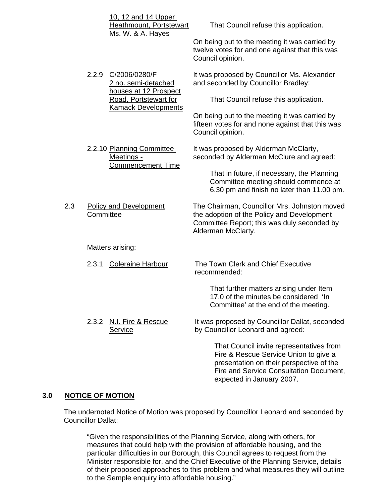|     |           | 10, 12 and 14 Upper                                                 |                                                                                                                                                                          |
|-----|-----------|---------------------------------------------------------------------|--------------------------------------------------------------------------------------------------------------------------------------------------------------------------|
|     |           | <b>Heathmount, Portstewart</b><br><u>Ms. W. &amp; A. Hayes</u>      | That Council refuse this application.                                                                                                                                    |
|     |           |                                                                     | On being put to the meeting it was carried by<br>twelve votes for and one against that this was<br>Council opinion.                                                      |
|     |           | 2.2.9 C/2006/0280/F<br>2 no. semi-detached<br>houses at 12 Prospect | It was proposed by Councillor Ms. Alexander<br>and seconded by Councillor Bradley:                                                                                       |
|     |           | Road, Portstewart for<br><b>Kamack Developments</b>                 | That Council refuse this application.                                                                                                                                    |
|     |           |                                                                     | On being put to the meeting it was carried by<br>fifteen votes for and none against that this was<br>Council opinion.                                                    |
|     |           | 2.2.10 Planning Committee<br>Meetings -<br><b>Commencement Time</b> | It was proposed by Alderman McClarty,<br>seconded by Alderman McClure and agreed:                                                                                        |
|     |           |                                                                     | That in future, if necessary, the Planning<br>Committee meeting should commence at<br>6.30 pm and finish no later than 11.00 pm.                                         |
| 2.3 | Committee | <b>Policy and Development</b>                                       | The Chairman, Councillor Mrs. Johnston moved<br>the adoption of the Policy and Development<br>Committee Report; this was duly seconded by<br>Alderman McClarty.          |
|     |           | Matters arising:                                                    |                                                                                                                                                                          |
|     | 2.3.1     | <b>Coleraine Harbour</b>                                            | The Town Clerk and Chief Executive<br>recommended:                                                                                                                       |
|     |           |                                                                     | That further matters arising under Item<br>17.0 of the minutes be considered 'In<br>Committee' at the end of the meeting.                                                |
|     | 2.3.2     | N.I. Fire & Rescue<br>Service                                       | It was proposed by Councillor Dallat, seconded<br>by Councillor Leonard and agreed:                                                                                      |
|     |           |                                                                     | That Council invite representatives from<br>Fire & Rescue Service Union to give a<br>presentation on their perspective of the<br>Fire and Service Consultation Document, |

### **3.0 NOTICE OF MOTION**

 The undernoted Notice of Motion was proposed by Councillor Leonard and seconded by Councillor Dallat:

"Given the responsibilities of the Planning Service, along with others, for measures that could help with the provision of affordable housing, and the particular difficulties in our Borough, this Council agrees to request from the Minister responsible for, and the Chief Executive of the Planning Service, details of their proposed approaches to this problem and what measures they will outline to the Semple enquiry into affordable housing."

expected in January 2007.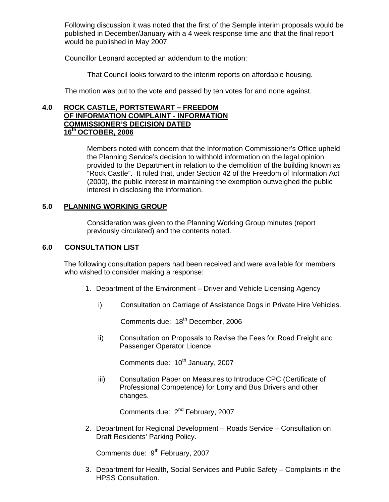Following discussion it was noted that the first of the Semple interim proposals would be published in December/January with a 4 week response time and that the final report would be published in May 2007.

Councillor Leonard accepted an addendum to the motion:

That Council looks forward to the interim reports on affordable housing.

The motion was put to the vote and passed by ten votes for and none against.

### **4.0 ROCK CASTLE, PORTSTEWART – FREEDOM OF INFORMATION COMPLAINT - INFORMATION COMMISSIONER'S DECISION DATED 16th OCTOBER, 2006**

Members noted with concern that the Information Commissioner's Office upheld the Planning Service's decision to withhold information on the legal opinion provided to the Department in relation to the demolition of the building known as "Rock Castle". It ruled that, under Section 42 of the Freedom of Information Act (2000), the public interest in maintaining the exemption outweighed the public interest in disclosing the information.

### **5.0 PLANNING WORKING GROUP**

Consideration was given to the Planning Working Group minutes (report previously circulated) and the contents noted.

### **6.0 CONSULTATION LIST**

The following consultation papers had been received and were available for members who wished to consider making a response:

- 1. Department of the Environment Driver and Vehicle Licensing Agency
	- i) Consultation on Carriage of Assistance Dogs in Private Hire Vehicles.

Comments due: 18<sup>th</sup> December, 2006

ii) Consultation on Proposals to Revise the Fees for Road Freight and Passenger Operator Licence.

Comments due: 10<sup>th</sup> January, 2007

iii) Consultation Paper on Measures to Introduce CPC (Certificate of Professional Competence) for Lorry and Bus Drivers and other changes.

Comments due: 2<sup>nd</sup> February, 2007

2. Department for Regional Development – Roads Service – Consultation on Draft Residents' Parking Policy.

Comments due:  $9<sup>th</sup>$  February, 2007

3. Department for Health, Social Services and Public Safety – Complaints in the HPSS Consultation.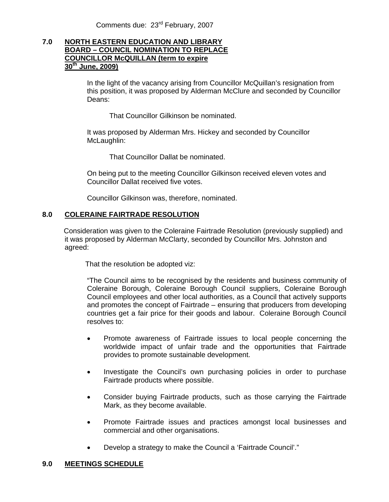Comments due: 23rd February, 2007

### **7.0 NORTH EASTERN EDUCATION AND LIBRARY BOARD – COUNCIL NOMINATION TO REPLACE COUNCILLOR McQUILLAN (term to expire 30th June, 2009)**

In the light of the vacancy arising from Councillor McQuillan's resignation from this position, it was proposed by Alderman McClure and seconded by Councillor Deans:

That Councillor Gilkinson be nominated.

It was proposed by Alderman Mrs. Hickey and seconded by Councillor McLaughlin:

That Councillor Dallat be nominated.

On being put to the meeting Councillor Gilkinson received eleven votes and Councillor Dallat received five votes.

Councillor Gilkinson was, therefore, nominated.

### **8.0 COLERAINE FAIRTRADE RESOLUTION**

Consideration was given to the Coleraine Fairtrade Resolution (previously supplied) and it was proposed by Alderman McClarty, seconded by Councillor Mrs. Johnston and agreed:

That the resolution be adopted viz:

"The Council aims to be recognised by the residents and business community of Coleraine Borough, Coleraine Borough Council suppliers, Coleraine Borough Council employees and other local authorities, as a Council that actively supports and promotes the concept of Fairtrade – ensuring that producers from developing countries get a fair price for their goods and labour. Coleraine Borough Council resolves to:

- Promote awareness of Fairtrade issues to local people concerning the worldwide impact of unfair trade and the opportunities that Fairtrade provides to promote sustainable development.
- Investigate the Council's own purchasing policies in order to purchase Fairtrade products where possible.
- Consider buying Fairtrade products, such as those carrying the Fairtrade Mark, as they become available.
- Promote Fairtrade issues and practices amongst local businesses and commercial and other organisations.
- Develop a strategy to make the Council a 'Fairtrade Council'."

### **9.0 MEETINGS SCHEDULE**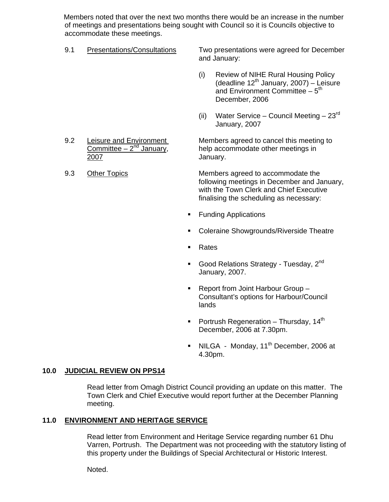Members noted that over the next two months there would be an increase in the number of meetings and presentations being sought with Council so it is Councils objective to accommodate these meetings.

9.1 Presentations/Consultations Two presentations were agreed for December and January:

- (i) Review of NIHE Rural Housing Policy (deadline  $12^{th}$  January, 2007) – Leisure and Environment Committee  $-5<sup>th</sup>$ December, 2006
- (ii) Water Service Council Meeting  $23<sup>rd</sup>$ January, 2007

9.2 Leisure and Environment Members agreed to cancel this meeting to<br>Committee –  $2^{nd}$  January, help accommodate other meetings in help accommodate other meetings in 2007 January.

9.3 Other Topics Members agreed to accommodate the following meetings in December and January, with the Town Clerk and Chief Executive finalising the scheduling as necessary:

- **Funding Applications**
- **Coleraine Showgrounds/Riverside Theatre**
- Rates
- Good Relations Strategy Tuesday,  $2^{nd}$ January, 2007.
- Report from Joint Harbour Group Consultant's options for Harbour/Council lands
- Portrush Regeneration Thursday,  $14<sup>th</sup>$ December, 2006 at 7.30pm.
- $\blacksquare$  NILGA Monday, 11<sup>th</sup> December, 2006 at 4.30pm.

### **10.0 JUDICIAL REVIEW ON PPS14**

 Read letter from Omagh District Council providing an update on this matter. The Town Clerk and Chief Executive would report further at the December Planning meeting.

### **11.0 ENVIRONMENT AND HERITAGE SERVICE**

Read letter from Environment and Heritage Service regarding number 61 Dhu Varren, Portrush. The Department was not proceeding with the statutory listing of this property under the Buildings of Special Architectural or Historic Interest.

Noted.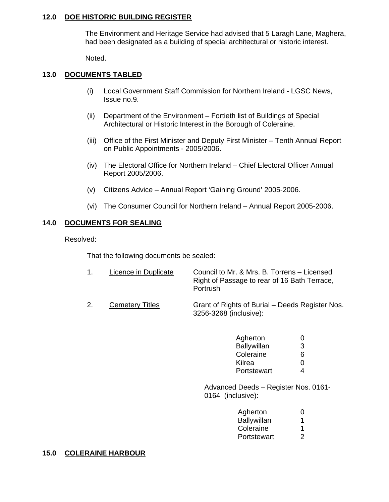### **12.0 DOE HISTORIC BUILDING REGISTER**

 The Environment and Heritage Service had advised that 5 Laragh Lane, Maghera, had been designated as a building of special architectural or historic interest.

Noted.

### **13.0 DOCUMENTS TABLED**

- (i) Local Government Staff Commission for Northern Ireland LGSC News, Issue no.9.
- (ii) Department of the Environment Fortieth list of Buildings of Special Architectural or Historic Interest in the Borough of Coleraine.
- (iii) Office of the First Minister and Deputy First Minister Tenth Annual Report on Public Appointments - 2005/2006.
- (iv) The Electoral Office for Northern Ireland Chief Electoral Officer Annual Report 2005/2006.
- (v) Citizens Advice Annual Report 'Gaining Ground' 2005-2006.
- (vi) The Consumer Council for Northern Ireland Annual Report 2005-2006.

### **14.0 DOCUMENTS FOR SEALING**

Resolved:

That the following documents be sealed:

- 1. Licence in Duplicate Council to Mr. & Mrs. B. Torrens Licensed Right of Passage to rear of 16 Bath Terrace, **Portrush**
- 2. Cemetery Titles Grant of Rights of Burial Deeds Register Nos. 3256-3268 (inclusive):

| Agherton    |   |
|-------------|---|
| Ballywillan | 3 |
| Coleraine   | 6 |
| Kilrea      |   |
| Portstewart |   |

 Advanced Deeds – Register Nos. 0161- 0164 (inclusive):

| Agherton    |   |
|-------------|---|
| Ballywillan |   |
| Coleraine   |   |
| Portstewart | ⌒ |

### **15.0 COLERAINE HARBOUR**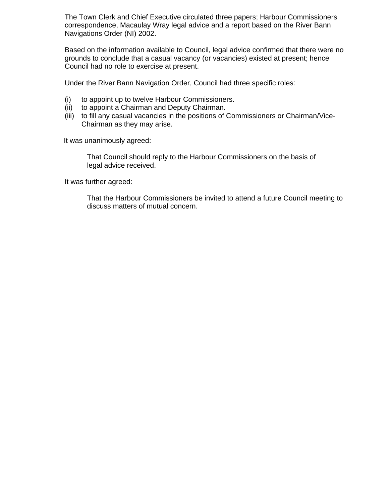The Town Clerk and Chief Executive circulated three papers; Harbour Commissioners correspondence, Macaulay Wray legal advice and a report based on the River Bann Navigations Order (NI) 2002.

Based on the information available to Council, legal advice confirmed that there were no grounds to conclude that a casual vacancy (or vacancies) existed at present; hence Council had no role to exercise at present.

Under the River Bann Navigation Order, Council had three specific roles:

- (i) to appoint up to twelve Harbour Commissioners.
- (ii) to appoint a Chairman and Deputy Chairman.
- (iii) to fill any casual vacancies in the positions of Commissioners or Chairman/Vice-Chairman as they may arise.

It was unanimously agreed:

 That Council should reply to the Harbour Commissioners on the basis of legal advice received.

It was further agreed:

 That the Harbour Commissioners be invited to attend a future Council meeting to discuss matters of mutual concern.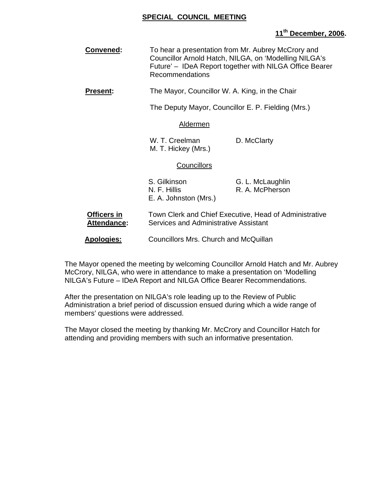### **SPECIAL COUNCIL MEETING**

### **11th December, 2006.**

- **Convened:** To hear a presentation from Mr. Aubrey McCrory and Councillor Arnold Hatch, NILGA, on 'Modelling NILGA's Future' – IDeA Report together with NILGA Office Bearer Recommendations
- **Present:** The Mayor, Councillor W. A. King, in the Chair

The Deputy Mayor, Councillor E. P. Fielding (Mrs.)

#### Aldermen

W. T. Creelman D. McClarty M. T. Hickey (Mrs.)

#### **Councillors**

| S. Gilkinson          | G. L. McLaughlin |
|-----------------------|------------------|
| N. F. Hillis          | R. A. McPherson  |
| E. A. Johnston (Mrs.) |                  |

- **Officers in** Town Clerk and Chief Executive, Head of Administrative Attendance: Services and Administrative Assistant
- **Apologies:** Councillors Mrs. Church and McQuillan

The Mayor opened the meeting by welcoming Councillor Arnold Hatch and Mr. Aubrey McCrory, NILGA, who were in attendance to make a presentation on 'Modelling NILGA's Future – IDeA Report and NILGA Office Bearer Recommendations.

After the presentation on NILGA's role leading up to the Review of Public Administration a brief period of discussion ensued during which a wide range of members' questions were addressed.

The Mayor closed the meeting by thanking Mr. McCrory and Councillor Hatch for attending and providing members with such an informative presentation.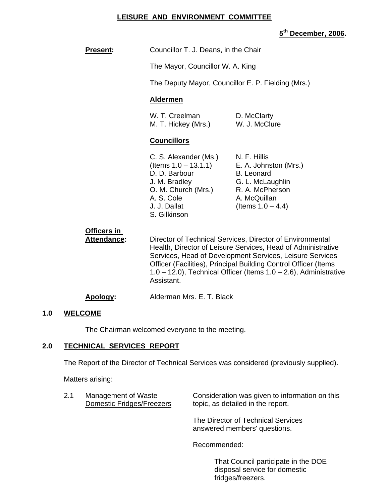### **LEISURE AND ENVIRONMENT COMMITTEE**

# **5th December, 2006.**

| Present:                          | Councillor T. J. Deans, in the Chair                                                                                                                                                                                                                                                                                                             |                                                                                                                                           |
|-----------------------------------|--------------------------------------------------------------------------------------------------------------------------------------------------------------------------------------------------------------------------------------------------------------------------------------------------------------------------------------------------|-------------------------------------------------------------------------------------------------------------------------------------------|
|                                   | The Mayor, Councillor W. A. King                                                                                                                                                                                                                                                                                                                 |                                                                                                                                           |
|                                   | The Deputy Mayor, Councillor E. P. Fielding (Mrs.)                                                                                                                                                                                                                                                                                               |                                                                                                                                           |
|                                   | <b>Aldermen</b>                                                                                                                                                                                                                                                                                                                                  |                                                                                                                                           |
|                                   | W. T. Creelman<br>M. T. Hickey (Mrs.)                                                                                                                                                                                                                                                                                                            | D. McClarty<br>W. J. McClure                                                                                                              |
|                                   | <b>Councillors</b>                                                                                                                                                                                                                                                                                                                               |                                                                                                                                           |
|                                   | C. S. Alexander (Ms.)<br>(Items $1.0 - 13.1.1$ )<br>D. D. Barbour<br>J. M. Bradley<br>O. M. Church (Mrs.)<br>A. S. Cole<br>J. J. Dallat<br>S. Gilkinson                                                                                                                                                                                          | N. F. Hillis<br>E. A. Johnston (Mrs.)<br><b>B.</b> Leonard<br>G. L. McLaughlin<br>R. A. McPherson<br>A. McQuillan<br>(Items $1.0 - 4.4$ ) |
| Officers in<br><b>Attendance:</b> | Director of Technical Services, Director of Environmental<br>Health, Director of Leisure Services, Head of Administrative<br>Services, Head of Development Services, Leisure Services<br>Officer (Facilities), Principal Building Control Officer (Items<br>$1.0 - 12.0$ ), Technical Officer (Items $1.0 - 2.6$ ), Administrative<br>Assistant. |                                                                                                                                           |
| Apology:                          | Alderman Mrs. E. T. Black                                                                                                                                                                                                                                                                                                                        |                                                                                                                                           |

### **1.0 WELCOME**

The Chairman welcomed everyone to the meeting.

# **2.0 TECHNICAL SERVICES REPORT**

The Report of the Director of Technical Services was considered (previously supplied).

Matters arising:

| 2.1 | Management of Waste<br><b>Domestic Fridges/Freezers</b> | Consideration was given to information on this<br>topic, as detailed in the report. |
|-----|---------------------------------------------------------|-------------------------------------------------------------------------------------|
|     |                                                         | The Director of Technical Services<br>answered members' questions.                  |
|     |                                                         | Recommended:                                                                        |

 That Council participate in the DOE disposal service for domestic fridges/freezers.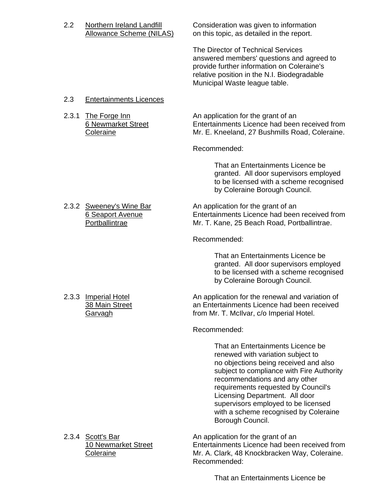Allowance Scheme (NILAS) on this topic, as detailed in the report. The Director of Technical Services answered members' questions and agreed to provide further information on Coleraine's relative position in the N.I. Biodegradable Municipal Waste league table. 2.3 Entertainments Licences 2.3.1 The Forge Inn An application for the grant of an 6 Newmarket Street Entertainments Licence had been received from Coleraine Mr. E. Kneeland, 27 Bushmills Road, Coleraine. Recommended: That an Entertainments Licence be granted. All door supervisors employed to be licensed with a scheme recognised by Coleraine Borough Council. 2.3.2 Sweeney's Wine Bar An application for the grant of an 6 Seaport Avenue Entertainments Licence had been received from Portballintrae Mr. T. Kane, 25 Beach Road, Portballintrae. Recommended: That an Entertainments Licence be granted. All door supervisors employed to be licensed with a scheme recognised by Coleraine Borough Council. 2.3.3 Imperial Hotel An application for the renewal and variation of 38 Main Street an Entertainments Licence had been received Garvagh **From Mr. T. McIlvar, c/o Imperial Hotel.**  Recommended: That an Entertainments Licence be renewed with variation subject to no objections being received and also subject to compliance with Fire Authority recommendations and any other requirements requested by Council's Licensing Department. All door supervisors employed to be licensed with a scheme recognised by Coleraine Borough Council. 2.3.4 Scott's Bar An application for the grant of an 10 Newmarket Street Entertainments Licence had been received from Coleraine Mr. A. Clark, 48 Knockbracken Way, Coleraine. Recommended:

That an Entertainments Licence be

2.2 Northern Ireland Landfill Consideration was given to information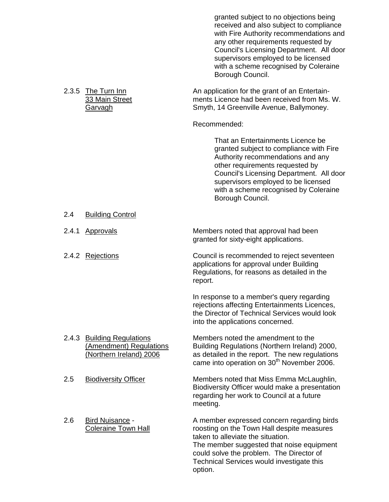|       |                                                                                   | granted subject to no objections being<br>received and also subject to compliance<br>with Fire Authority recommendations and<br>any other requirements requested by<br>Council's Licensing Department. All door<br>supervisors employed to be licensed<br>with a scheme recognised by Coleraine<br>Borough Council. |
|-------|-----------------------------------------------------------------------------------|---------------------------------------------------------------------------------------------------------------------------------------------------------------------------------------------------------------------------------------------------------------------------------------------------------------------|
|       | 2.3.5 The Turn Inn<br>33 Main Street<br>Garvagh                                   | An application for the grant of an Entertain-<br>ments Licence had been received from Ms. W.<br>Smyth, 14 Greenville Avenue, Ballymoney.                                                                                                                                                                            |
|       |                                                                                   | Recommended:                                                                                                                                                                                                                                                                                                        |
|       |                                                                                   | That an Entertainments Licence be<br>granted subject to compliance with Fire<br>Authority recommendations and any<br>other requirements requested by<br>Council's Licensing Department. All door<br>supervisors employed to be licensed<br>with a scheme recognised by Coleraine<br>Borough Council.                |
| 2.4   | <b>Building Control</b>                                                           |                                                                                                                                                                                                                                                                                                                     |
| 2.4.1 | Approvals                                                                         | Members noted that approval had been<br>granted for sixty-eight applications.                                                                                                                                                                                                                                       |
|       | 2.4.2 Rejections                                                                  | Council is recommended to reject seventeen<br>applications for approval under Building<br>Regulations, for reasons as detailed in the<br>report.                                                                                                                                                                    |
|       |                                                                                   | In response to a member's query regarding<br>rejections affecting Entertainments Licences,<br>the Director of Technical Services would look<br>into the applications concerned.                                                                                                                                     |
| 2.4.3 | <b>Building Regulations</b><br>(Amendment) Regulations<br>(Northern Ireland) 2006 | Members noted the amendment to the<br>Building Regulations (Northern Ireland) 2000,<br>as detailed in the report. The new regulations<br>came into operation on 30 <sup>th</sup> November 2006.                                                                                                                     |
| 2.5   | <b>Biodiversity Officer</b>                                                       | Members noted that Miss Emma McLaughlin,<br>Biodiversity Officer would make a presentation<br>regarding her work to Council at a future<br>meeting.                                                                                                                                                                 |
| 2.6   | Bird Nuisance -<br>Coleraine Town Hall                                            | A member expressed concern regarding birds<br>roosting on the Town Hall despite measures<br>taken to alleviate the situation.<br>The member suggested that noise equipment<br>could solve the problem. The Director of<br>Technical Services would investigate this<br>option.                                      |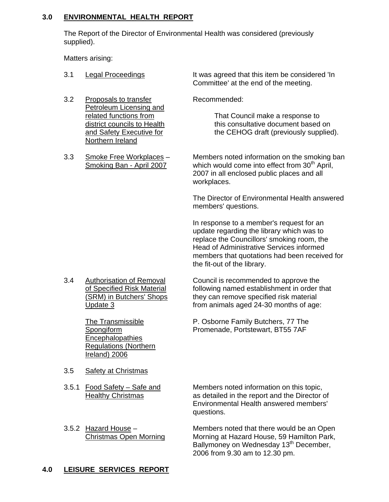### **3.0 ENVIRONMENTAL HEALTH REPORT**

 The Report of the Director of Environmental Health was considered (previously supplied).

Matters arising:

- 3.1 Legal Proceedings The Mas agreed that this item be considered 'In Committee' at the end of the meeting.
- 3.2 Proposals to transfer Recommended: Petroleum Licensing and<br>related functions from Northern Ireland
- 

related functions from That Council make a response to<br>district councils to Health this consultative document based district councils to Health this consultative document based on<br>
and Safety Executive for the CEHOG draft (previously supplied the CEHOG draft (previously supplied).

3.3 Smoke Free Workplaces – Members noted information on the smoking ban<br>Smoking Ban - April 2007 which would come into effect from 30<sup>th</sup> April. which would come into effect from 30<sup>th</sup> April, 2007 in all enclosed public places and all workplaces.

> The Director of Environmental Health answered members' questions.

> In response to a member's request for an update regarding the library which was to replace the Councillors' smoking room, the Head of Administrative Services informed members that quotations had been received for the fit-out of the library.

**Encephalopathies**  Regulations (Northern Ireland) 2006

3.4 Authorisation of Removal Council is recommended to approve the of Specified Risk Material following named establishment in order that<br>(SRM) in Butchers' Shops they can remove specified risk material they can remove specified risk material Update 3 **from animals aged 24-30 months of age:** 

 The Transmissible P. Osborne Family Butchers, 77 The Spongiform Promenade, Portstewart, BT55 7AF

- 3.5 Safety at Christmas
- 
- 

3.5.1 Food Safety – Safe and Members noted information on this topic, Healthy Christmas as detailed in the report and the Director of Environmental Health answered members' questions.

3.5.2 Hazard House – Members noted that there would be an Open Christmas Open Morning Morning at Hazard House, 59 Hamilton Park, Ballymoney on Wednesday 13<sup>th</sup> December, 2006 from 9.30 am to 12.30 pm.

# **4.0 LEISURE SERVICES REPORT**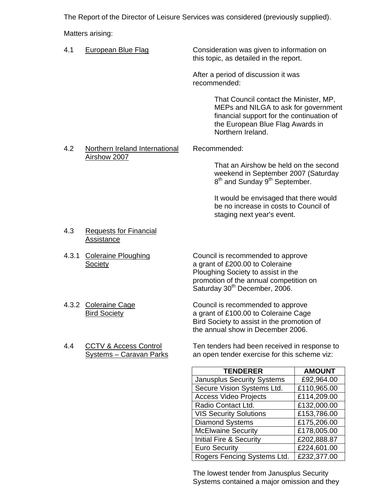The Report of the Director of Leisure Services was considered (previously supplied).

Matters arising:

- 4.1 European Blue Flag Consideration was given to information on this topic, as detailed in the report. After a period of discussion it was recommended: That Council contact the Minister, MP, MEPs and NILGA to ask for government financial support for the continuation of the European Blue Flag Awards in Northern Ireland. 4.2 Northern Ireland International Recommended: Airshow 2007 That an Airshow be held on the second weekend in September 2007 (Saturday 8<sup>th</sup> and Sunday 9<sup>th</sup> September. It would be envisaged that there would be no increase in costs to Council of staging next year's event. 4.3 Requests for Financial Assistance 4.3.1 Coleraine Ploughing Council is recommended to approve Society **Society a** grant of £200.00 to Coleraine Ploughing Society to assist in the promotion of the annual competition on Saturday 30<sup>th</sup> December, 2006. 4.3.2 Coleraine Cage Council is recommended to approve Bird Society **Bird Society a grant of £100.00 to Coleraine Cage** Bird Society to assist in the promotion of
- 

 4.4 CCTV & Access Control Ten tenders had been received in response to Systems – Caravan Parks an open tender exercise for this scheme viz:

the annual show in December 2006.

| <b>TENDERER</b>                    | <b>AMOUNT</b> |
|------------------------------------|---------------|
| <b>Janusplus Security Systems</b>  | £92,964.00    |
| Secure Vision Systems Ltd.         | £110,965.00   |
| <b>Access Video Projects</b>       | £114,209.00   |
| Radio Contact Ltd.                 | £132,000.00   |
| <b>VIS Security Solutions</b>      | £153,786.00   |
| <b>Diamond Systems</b>             | £175,206.00   |
| <b>McElwaine Security</b>          | £178,005.00   |
| <b>Initial Fire &amp; Security</b> | £202,888.87   |
| <b>Euro Security</b>               | £224,601.00   |
| Rogers Fencing Systems Ltd.        | £232,377.00   |

 The lowest tender from Janusplus Security Systems contained a major omission and they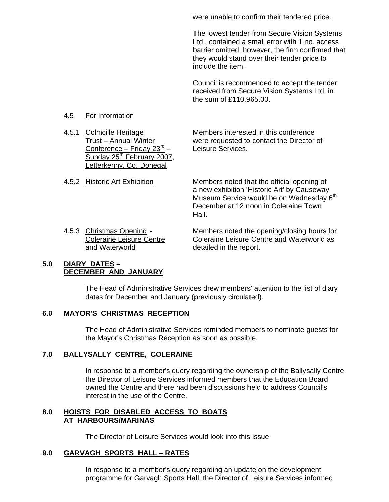were unable to confirm their tendered price.

 The lowest tender from Secure Vision Systems Ltd., contained a small error with 1 no. access barrier omitted, however, the firm confirmed that they would stand over their tender price to include the item.

 Council is recommended to accept the tender received from Secure Vision Systems Ltd. in the sum of £110,965.00.

### 4.5 For Information

Conference – Friday  $23^{rd}$  – Leisure Services. Sunday  $25^{th}$  February 2007. Letterkenny, Co. Donegal

4.5.1 Colmcille Heritage Members interested in this conference<br>Trust – Annual Winter were requested to contact the Director were requested to contact the Director of

- 4.5.2 Historic Art Exhibition Members noted that the official opening of a new exhibition 'Historic Art' by Causeway Museum Service would be on Wednesday 6<sup>th</sup> December at 12 noon in Coleraine Town Hall.
	- and Waterworld and Waterworld detailed in the report.

 4.5.3 Christmas Opening - Members noted the opening/closing hours for Coleraine Leisure Centre Coleraine Leisure Centre and Waterworld as

### **5.0 DIARY DATES – DECEMBER AND JANUARY**

 The Head of Administrative Services drew members' attention to the list of diary dates for December and January (previously circulated).

### **6.0 MAYOR'S CHRISTMAS RECEPTION**

The Head of Administrative Services reminded members to nominate guests for the Mayor's Christmas Reception as soon as possible.

### **7.0 BALLYSALLY CENTRE, COLERAINE**

In response to a member's query regarding the ownership of the Ballysally Centre, the Director of Leisure Services informed members that the Education Board owned the Centre and there had been discussions held to address Council's interest in the use of the Centre.

### **8.0 HOISTS FOR DISABLED ACCESS TO BOATS AT HARBOURS/MARINAS**

The Director of Leisure Services would look into this issue.

### **9.0 GARVAGH SPORTS HALL – RATES**

 In response to a member's query regarding an update on the development programme for Garvagh Sports Hall, the Director of Leisure Services informed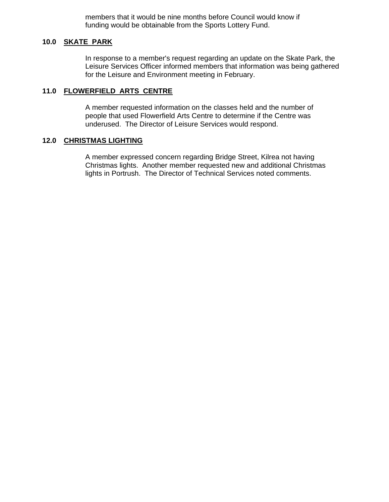members that it would be nine months before Council would know if funding would be obtainable from the Sports Lottery Fund.

### **10.0 SKATE PARK**

 In response to a member's request regarding an update on the Skate Park, the Leisure Services Officer informed members that information was being gathered for the Leisure and Environment meeting in February.

### **11.0 FLOWERFIELD ARTS CENTRE**

 A member requested information on the classes held and the number of people that used Flowerfield Arts Centre to determine if the Centre was underused. The Director of Leisure Services would respond.

#### **12.0 CHRISTMAS LIGHTING**

A member expressed concern regarding Bridge Street, Kilrea not having Christmas lights. Another member requested new and additional Christmas lights in Portrush. The Director of Technical Services noted comments.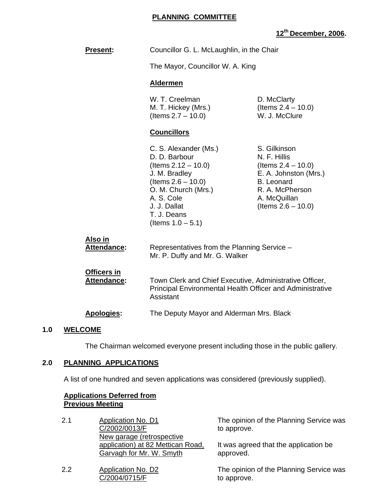### **PLANNING COMMITTEE**

# **12th December, 2006.**

|                                          |                                                                                                                                                                                                          | PUUUIINUI, E                                                                                                                                                    |
|------------------------------------------|----------------------------------------------------------------------------------------------------------------------------------------------------------------------------------------------------------|-----------------------------------------------------------------------------------------------------------------------------------------------------------------|
| Present:                                 | Councillor G. L. McLaughlin, in the Chair                                                                                                                                                                |                                                                                                                                                                 |
|                                          | The Mayor, Councillor W. A. King                                                                                                                                                                         |                                                                                                                                                                 |
|                                          | <b>Aldermen</b>                                                                                                                                                                                          |                                                                                                                                                                 |
|                                          | W. T. Creelman<br>M. T. Hickey (Mrs.)<br>(Items $2.7 - 10.0$ )                                                                                                                                           | D. McClarty<br>(Items $2.4 - 10.0$ )<br>W. J. McClure                                                                                                           |
|                                          | <b>Councillors</b>                                                                                                                                                                                       |                                                                                                                                                                 |
|                                          | C. S. Alexander (Ms.)<br>D. D. Barbour<br>$($ ltems 2.12 $-$ 10.0)<br>J. M. Bradley<br>(Items $2.6 - 10.0$ )<br>O. M. Church (Mrs.)<br>A. S. Cole<br>J. J. Dallat<br>T. J. Deans<br>(Items $1.0 - 5.1$ ) | S. Gilkinson<br>N. F. Hillis<br>(Items $2.4 - 10.0$ )<br>E. A. Johnston (Mrs.)<br><b>B.</b> Leonard<br>R. A. McPherson<br>A. McQuillan<br>(Items $2.6 - 10.0$ ) |
| <u>Also in</u><br>Attendance:            | Representatives from the Planning Service -<br>Mr. P. Duffy and Mr. G. Walker                                                                                                                            |                                                                                                                                                                 |
| <b>Officers in</b><br><b>Attendance:</b> | Town Clerk and Chief Executive, Administrative Officer,<br>Principal Environmental Health Officer and Administrative<br>Assistant<br>The Deputy Mayor and Alderman Mrs. Black                            |                                                                                                                                                                 |
| <b>Apologies:</b>                        |                                                                                                                                                                                                          |                                                                                                                                                                 |

#### **1.0 WELCOME**

The Chairman welcomed everyone present including those in the public gallery.

# **2.0 PLANNING APPLICATIONS**

A list of one hundred and seven applications was considered (previously supplied).

### **Applications Deferred from Previous Meeting**

| 2.1 | <b>Application No. D1</b>         |
|-----|-----------------------------------|
|     | C/2002/0013/F                     |
|     | New garage (retrospective         |
|     | application) at 82 Mettican Road, |
|     | Garvagh for Mr. W. Smyth          |
|     |                                   |

2.2 Application No. D2 C/2004/0715/F

The opinion of the Planning Service was to approve.

It was agreed that the application be approved.

The opinion of the Planning Service was to approve.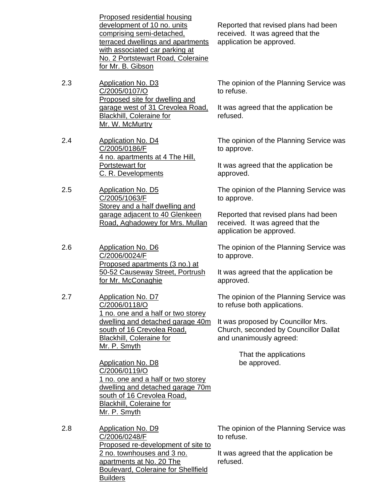Proposed residential housing development of 10 no. units comprising semi-detached, terraced dwellings and apartments with associated car parking at No. 2 Portstewart Road, Coleraine for Mr. B. Gibson

2.3 Application No. D3 C/2005/0107/O Proposed site for dwelling and garage west of 31 Crevolea Road, Blackhill, Coleraine for Mr. W. McMurtry

2.4 Application No. D4 C/2005/0186/F 4 no. apartments at 4 The Hill, Portstewart for C. R. Developments

2.5 Application No. D5 C/2005/1063/F Storey and a half dwelling and garage adjacent to 40 Glenkeen Road, Aghadowey for Mrs. Mullan

2.6 Application No. D6 C/2006/0024/F Proposed apartments (3 no.) at 50-52 Causeway Street, Portrush for Mr. McConaghie

2.7 Application No. D7 C/2006/0118/O 1 no. one and a half or two storey dwelling and detached garage 40m south of 16 Crevolea Road, Blackhill, Coleraine for Mr. P. Smyth

> Application No. D8 C/2006/0119/O 1 no. one and a half or two storey dwelling and detached garage 70m south of 16 Crevolea Road, Blackhill, Coleraine for Mr. P. Smyth

2.8 Application No. D9 C/2006/0248/F Proposed re-development of site to 2 no. townhouses and 3 no. apartments at No. 20 The Boulevard, Coleraine for Shellfield Builders

Reported that revised plans had been received. It was agreed that the application be approved.

The opinion of the Planning Service was to refuse.

It was agreed that the application be refused.

The opinion of the Planning Service was to approve.

It was agreed that the application be approved.

The opinion of the Planning Service was to approve.

Reported that revised plans had been received. It was agreed that the application be approved.

The opinion of the Planning Service was to approve.

It was agreed that the application be approved.

The opinion of the Planning Service was to refuse both applications.

It was proposed by Councillor Mrs. Church, seconded by Councillor Dallat and unanimously agreed:

> That the applications be approved.

The opinion of the Planning Service was to refuse.

It was agreed that the application be refused.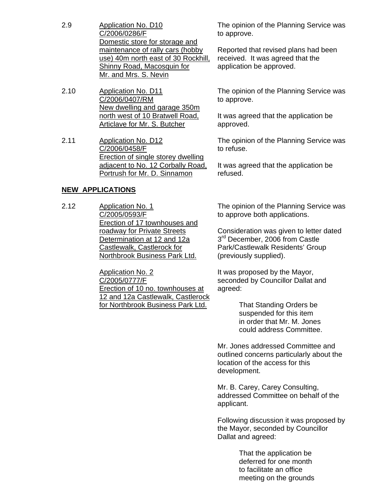- 2.9 Application No. D10 C/2006/0286/F Domestic store for storage and maintenance of rally cars (hobby use) 40m north east of 30 Rockhill, Shinny Road, Macosquin for Mr. and Mrs. S. Nevin
- 2.10 Application No. D11 C/2006/0407/RM New dwelling and garage 350m north west of 10 Bratwell Road, Articlave for Mr. S. Butcher
- 2.11 Application No. D12 C/2006/0458/F Erection of single storey dwelling adjacent to No. 12 Corbally Road, Portrush for Mr. D. Sinnamon

### **NEW APPLICATIONS**

2.12 Application No. 1 C/2005/0593/F Erection of 17 townhouses and roadway for Private Streets Determination at 12 and 12a Castlewalk, Castlerock for Northbrook Business Park Ltd.

> Application No. 2 C/2005/0777/F Erection of 10 no. townhouses at 12 and 12a Castlewalk, Castlerock for Northbrook Business Park Ltd.

The opinion of the Planning Service was to approve.

Reported that revised plans had been received. It was agreed that the application be approved.

The opinion of the Planning Service was to approve.

It was agreed that the application be approved.

The opinion of the Planning Service was to refuse.

It was agreed that the application be refused.

The opinion of the Planning Service was to approve both applications.

Consideration was given to letter dated 3<sup>rd</sup> December, 2006 from Castle Park/Castlewalk Residents' Group (previously supplied).

It was proposed by the Mayor, seconded by Councillor Dallat and agreed:

> That Standing Orders be suspended for this item in order that Mr. M. Jones could address Committee.

Mr. Jones addressed Committee and outlined concerns particularly about the location of the access for this development.

Mr. B. Carey, Carey Consulting, addressed Committee on behalf of the applicant.

Following discussion it was proposed by the Mayor, seconded by Councillor Dallat and agreed:

> That the application be deferred for one month to facilitate an office meeting on the grounds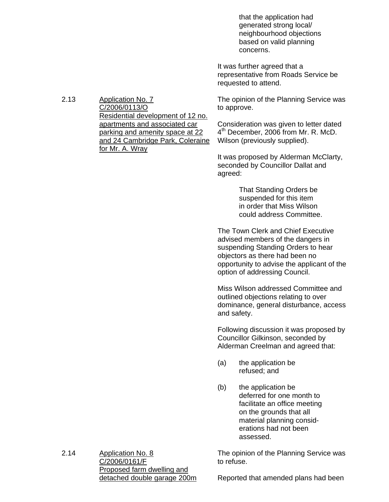that the application had generated strong local/ neighbourhood objections based on valid planning concerns.

It was further agreed that a representative from Roads Service be requested to attend.

The opinion of the Planning Service was to approve.

Consideration was given to letter dated 4<sup>th</sup> December, 2006 from Mr. R. McD. Wilson (previously supplied).

It was proposed by Alderman McClarty, seconded by Councillor Dallat and agreed:

> That Standing Orders be suspended for this item in order that Miss Wilson could address Committee.

The Town Clerk and Chief Executive advised members of the dangers in suspending Standing Orders to hear objectors as there had been no opportunity to advise the applicant of the option of addressing Council.

Miss Wilson addressed Committee and outlined objections relating to over dominance, general disturbance, access and safety.

Following discussion it was proposed by Councillor Gilkinson, seconded by Alderman Creelman and agreed that:

- (a) the application be refused; and
- (b) the application be deferred for one month to facilitate an office meeting on the grounds that all material planning consid erations had not been assessed.

The opinion of the Planning Service was to refuse.

2.14 Application No. 8 C/2006/0161/F Proposed farm dwelling and detached double garage 200m

Reported that amended plans had been

2.13 Application No. 7 C/2006/0113/O Residential development of 12 no. apartments and associated car parking and amenity space at 22 and 24 Cambridge Park, Coleraine for Mr. A. Wray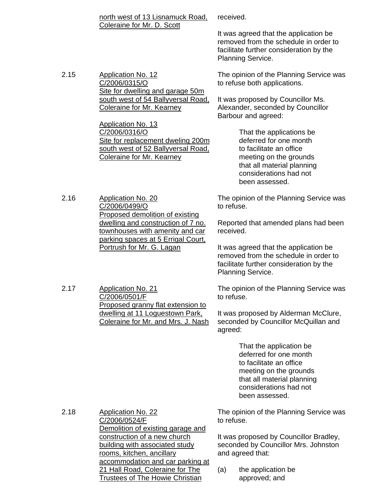|      | north west of 13 Lisnamuck Road,<br>Coleraine for Mr. D. Scott                                                                                                                                                            |                                                                                                    | received.                                                                                                                                                                         |  |  |
|------|---------------------------------------------------------------------------------------------------------------------------------------------------------------------------------------------------------------------------|----------------------------------------------------------------------------------------------------|-----------------------------------------------------------------------------------------------------------------------------------------------------------------------------------|--|--|
|      |                                                                                                                                                                                                                           |                                                                                                    | It was agreed that the application be<br>removed from the schedule in order to<br>facilitate further consideration by the<br>Planning Service.                                    |  |  |
| 2.15 | <b>Application No. 12</b><br>C/2006/0315/O<br>Site for dwelling and garage 50m<br>south west of 54 Ballyversal Road,<br><b>Coleraine for Mr. Kearney</b>                                                                  | The opinion of the Planning Service was<br>to refuse both applications.                            |                                                                                                                                                                                   |  |  |
|      |                                                                                                                                                                                                                           |                                                                                                    | It was proposed by Councillor Ms.<br>Alexander, seconded by Councillor<br>Barbour and agreed:                                                                                     |  |  |
|      | <b>Application No. 13</b><br>C/2006/0316/O<br>Site for replacement dweling 200m<br>south west of 52 Ballyversal Road,<br><b>Coleraine for Mr. Kearney</b>                                                                 |                                                                                                    | That the applications be<br>deferred for one month<br>to facilitate an office<br>meeting on the grounds<br>that all material planning<br>considerations had not<br>been assessed. |  |  |
| 2.16 | <b>Application No. 20</b><br>C/2006/0499/O<br>Proposed demolition of existing<br>dwelling and construction of 7 no.<br>townhouses with amenity and car<br>parking spaces at 5 Errigal Court,<br>Portrush for Mr. G. Lagan | to refuse.                                                                                         | The opinion of the Planning Service was                                                                                                                                           |  |  |
|      |                                                                                                                                                                                                                           | received.                                                                                          | Reported that amended plans had been                                                                                                                                              |  |  |
|      |                                                                                                                                                                                                                           |                                                                                                    | It was agreed that the application be<br>removed from the schedule in order to<br>facilitate further consideration by the<br>Planning Service.                                    |  |  |
| 2.17 | <b>Application No. 21</b><br>C/2006/0501/F<br>Proposed granny flat extension to<br>dwelling at 11 Loguestown Park,<br>Coleraine for Mr. and Mrs. J. Nash                                                                  | to refuse.                                                                                         | The opinion of the Planning Service was                                                                                                                                           |  |  |
|      |                                                                                                                                                                                                                           | agreed:                                                                                            | It was proposed by Alderman McClure,<br>seconded by Councillor McQuillan and                                                                                                      |  |  |
|      |                                                                                                                                                                                                                           |                                                                                                    | That the application be<br>deferred for one month<br>to facilitate an office<br>meeting on the grounds<br>that all material planning<br>considerations had not<br>been assessed.  |  |  |
| 2.18 | <b>Application No. 22</b><br>C/2006/0524/F<br>Demolition of existing garage and<br>construction of a new church<br>building with associated study<br>rooms, kitchen, ancillary<br>accommodation and car parking at        |                                                                                                    | The opinion of the Planning Service was<br>to refuse.                                                                                                                             |  |  |
|      |                                                                                                                                                                                                                           | It was proposed by Councillor Bradley,<br>seconded by Councillor Mrs. Johnston<br>and agreed that: |                                                                                                                                                                                   |  |  |
|      | 21 Hall Road, Coleraine for The<br><b>Trustees of The Howie Christian</b>                                                                                                                                                 | (a)                                                                                                | the application be<br>approved; and                                                                                                                                               |  |  |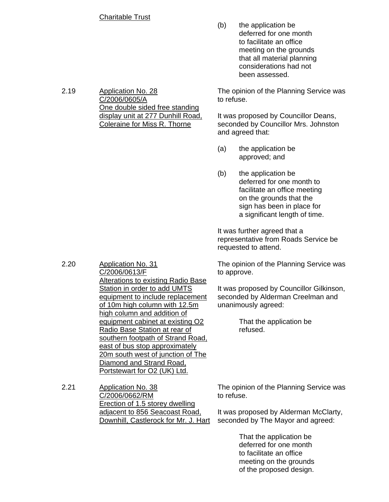### Charitable Trust

(b) the application be deferred for one month to facilitate an office meeting on the grounds that all material planning considerations had not been assessed.

The opinion of the Planning Service was to refuse.

It was proposed by Councillor Deans, seconded by Councillor Mrs. Johnston and agreed that:

- (a) the application be approved; and
- (b) the application be deferred for one month to facilitate an office meeting on the grounds that the sign has been in place for a significant length of time.

It was further agreed that a representative from Roads Service be requested to attend.

The opinion of the Planning Service was to approve.

It was proposed by Councillor Gilkinson, seconded by Alderman Creelman and unanimously agreed:

> That the application be refused.

The opinion of the Planning Service was to refuse.

It was proposed by Alderman McClarty, seconded by The Mayor and agreed:

> That the application be deferred for one month to facilitate an office meeting on the grounds of the proposed design.

2.19 Application No. 28 C/2006/0605/A One double sided free standing display unit at 277 Dunhill Road, Coleraine for Miss R. Thorne

2.20 Application No. 31 C/2006/0613/F Alterations to existing Radio Base Station in order to add UMTS equipment to include replacement of 10m high column with 12.5m high column and addition of equipment cabinet at existing O2 Radio Base Station at rear of southern footpath of Strand Road, east of bus stop approximately 20m south west of junction of The Diamond and Strand Road, Portstewart for O2 (UK) Ltd.

2.21 Application No. 38 C/2006/0662/RM Erection of 1.5 storey dwelling adjacent to 856 Seacoast Road, Downhill, Castlerock for Mr. J. Hart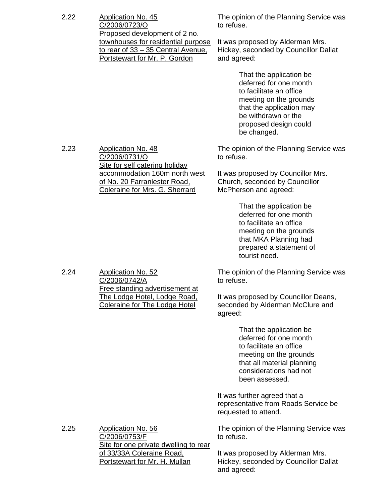| 2.22 | <b>Application No. 45</b><br>C/2006/0723/O<br>Proposed development of 2 no.<br>townhouses for residential purpose<br>to rear of 33 - 35 Central Avenue.<br>Portstewart for Mr. P. Gordon | The opinion of the Planning Service was<br>to refuse.                                                                                                                                             |  |  |
|------|------------------------------------------------------------------------------------------------------------------------------------------------------------------------------------------|---------------------------------------------------------------------------------------------------------------------------------------------------------------------------------------------------|--|--|
|      |                                                                                                                                                                                          | It was proposed by Alderman Mrs.<br>Hickey, seconded by Councillor Dallat<br>and agreed:                                                                                                          |  |  |
|      |                                                                                                                                                                                          | That the application be<br>deferred for one month<br>to facilitate an office<br>meeting on the grounds<br>that the application may<br>be withdrawn or the<br>proposed design could<br>be changed. |  |  |
| 2.23 | <b>Application No. 48</b><br>C/2006/0731/O<br>Site for self catering holiday<br>accommodation 160m north west<br>of No. 20 Farranlester Road.<br>Coleraine for Mrs. G. Sherrard          | The opinion of the Planning Service was<br>to refuse.                                                                                                                                             |  |  |
|      |                                                                                                                                                                                          | It was proposed by Councillor Mrs.<br>Church, seconded by Councillor<br>McPherson and agreed:                                                                                                     |  |  |
|      |                                                                                                                                                                                          | That the application be<br>deferred for one month<br>to facilitate an office<br>meeting on the grounds<br>that MKA Planning had<br>prepared a statement of<br>tourist need.                       |  |  |
| 2.24 | <b>Application No. 52</b><br>C/2006/0742/A<br>Free standing advertisement at<br>The Lodge Hotel, Lodge Road,<br><b>Coleraine for The Lodge Hotel</b>                                     | The opinion of the Planning Service was<br>to refuse.                                                                                                                                             |  |  |
|      |                                                                                                                                                                                          | It was proposed by Councillor Deans,<br>seconded by Alderman McClure and<br>agreed:                                                                                                               |  |  |
|      |                                                                                                                                                                                          | That the application be<br>deferred for one month<br>to facilitate an office<br>meeting on the grounds<br>that all material planning<br>considerations had not<br>been assessed.                  |  |  |
|      |                                                                                                                                                                                          | It was further agreed that a<br>representative from Roads Service be<br>requested to attend.                                                                                                      |  |  |
| 2.25 | <b>Application No. 56</b><br>C/2006/0753/F<br>Site for one private dwelling to rear<br>of 33/33A Coleraine Road,<br><b>Portstewart for Mr. H. Mullan</b>                                 | The opinion of the Planning Service was<br>to refuse.                                                                                                                                             |  |  |
|      |                                                                                                                                                                                          | It was proposed by Alderman Mrs.<br>Hickey, seconded by Councillor Dallat<br>and agreed:                                                                                                          |  |  |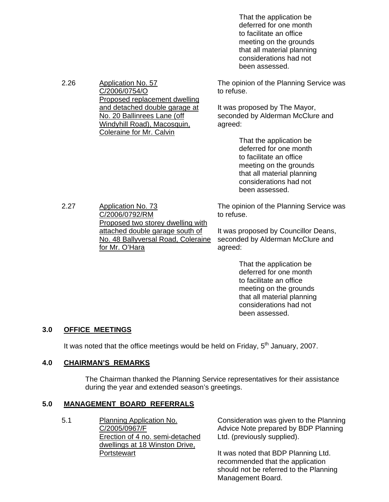That the application be deferred for one month to facilitate an office meeting on the grounds that all material planning considerations had not been assessed.

The opinion of the Planning Service was to refuse.

It was proposed by The Mayor, seconded by Alderman McClure and agreed:

> That the application be deferred for one month to facilitate an office meeting on the grounds that all material planning considerations had not been assessed.

The opinion of the Planning Service was to refuse.

It was proposed by Councillor Deans, seconded by Alderman McClure and agreed:

> That the application be deferred for one month to facilitate an office meeting on the grounds that all material planning considerations had not been assessed.

### **3.0 OFFICE MEETINGS**

It was noted that the office meetings would be held on Friday,  $5<sup>th</sup>$  January, 2007.

#### **4.0 CHAIRMAN'S REMARKS**

 The Chairman thanked the Planning Service representatives for their assistance during the year and extended season's greetings.

#### **5.0 MANAGEMENT BOARD REFERRALS**

5.1 Planning Application No. C/2005/0967/F Erection of 4 no. semi-detached dwellings at 18 Winston Drive, **Portstewart** 

Consideration was given to the Planning Advice Note prepared by BDP Planning Ltd. (previously supplied).

It was noted that BDP Planning Ltd. recommended that the application should not be referred to the Planning Management Board.

2.27 Application No. 73 C/2006/0792/RM Proposed two storey dwelling with attached double garage south of No. 48 Ballyversal Road, Coleraine for Mr. O'Hara

C/2006/0754/O

Proposed replacement dwelling and detached double garage at No. 20 Ballinrees Lane (off Windyhill Road), Macosquin, Coleraine for Mr. Calvin

#### 2.26 Application No. 57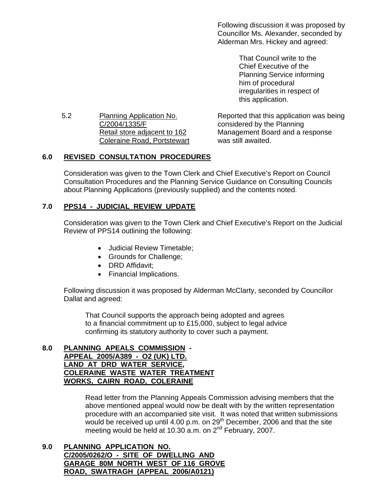Following discussion it was proposed by Councillor Ms. Alexander, seconded by Alderman Mrs. Hickey and agreed:

> That Council write to the Chief Executive of the Planning Service informing him of procedural irregularities in respect of this application.

5.2 Planning Application No. C/2004/1335/F Retail store adjacent to 162 Coleraine Road, Portstewart

Reported that this application was being considered by the Planning Management Board and a response was still awaited.

# **6.0 REVISED CONSULTATION PROCEDURES**

 Consideration was given to the Town Clerk and Chief Executive's Report on Council Consultation Procedures and the Planning Service Guidance on Consulting Councils about Planning Applications (previously supplied) and the contents noted.

# **7.0 PPS14 - JUDICIAL REVIEW UPDATE**

 Consideration was given to the Town Clerk and Chief Executive's Report on the Judicial Review of PPS14 outlining the following:

- Judicial Review Timetable;
- Grounds for Challenge;
- DRD Affidavit;
- Financial Implications.

 Following discussion it was proposed by Alderman McClarty, seconded by Councillor Dallat and agreed:

 That Council supports the approach being adopted and agrees to a financial commitment up to £15,000, subject to legal advice confirming its statutory authority to cover such a payment.

### **8.0 PLANNING APEALS COMMISSION - APPEAL 2005/A389 - O2 (UK) LTD. LAND AT DRD WATER SERVICE, COLERAINE WASTE WATER TREATMENT WORKS, CAIRN ROAD, COLERAINE**

 Read letter from the Planning Appeals Commission advising members that the above mentioned appeal would now be dealt with by the written representation procedure with an accompanied site visit. It was noted that written submissions would be received up until 4.00 p.m. on  $29<sup>th</sup>$  December, 2006 and that the site meeting would be held at 10.30 a.m. on  $2^{nd}$  February, 2007.

**9.0 PLANNING APPLICATION NO. C/2005/0262/O - SITE OF DWELLING AND GARAGE 80M NORTH WEST OF 116 GROVE ROAD, SWATRAGH (APPEAL 2006/A0121)**